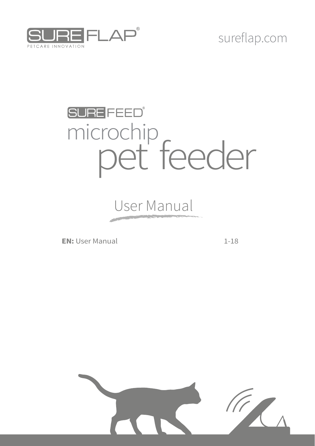

## sureflap.com

## **SURE FEED®**  microchip pet feeder

User Manual

**EN:** User Manual 1-18

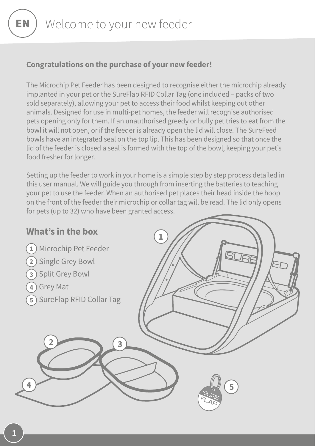#### **Congratulations on the purchase of your new feeder!**

The Microchip Pet Feeder has been designed to recognise either the microchip already implanted in your pet or the SureFlap RFID Collar Tag (one included – packs of two sold separately), allowing your pet to access their food whilst keeping out other animals. Designed for use in multi-pet homes, the feeder will recognise authorised pets opening only for them. If an unauthorised greedy or bully pet tries to eat from the bowl it will not open, or if the feeder is already open the lid will close. The SureFeed bowls have an integrated seal on the top lip. This has been designed so that once the lid of the feeder is closed a seal is formed with the top of the bowl, keeping your pet's food fresher for longer.

Setting up the feeder to work in your home is a simple step by step process detailed in this user manual. We will guide you through from inserting the batteries to teaching your pet to use the feeder. When an authorised pet places their head inside the hoop on the front of the feeder their microchip or collar tag will be read. The lid only opens for pets (up to 32) who have been granted access.

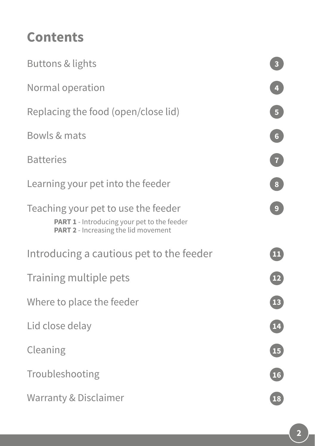## **Contents**

| Buttons & lights                                                                                                                         | $\overline{\mathbf{3}}$ |
|------------------------------------------------------------------------------------------------------------------------------------------|-------------------------|
| Normal operation                                                                                                                         | $\overline{\mathbf{4}}$ |
| Replacing the food (open/close lid)                                                                                                      | $\overline{5}$          |
| Bowls & mats                                                                                                                             | $\boxed{6}$             |
| <b>Batteries</b>                                                                                                                         | $\overline{7}$          |
| Learning your pet into the feeder                                                                                                        | $\bf{8}$                |
| Teaching your pet to use the feeder<br><b>PART 1</b> - Introducing your pet to the feeder<br><b>PART 2</b> - Increasing the lid movement | $\overline{9}$          |
| Introducing a cautious pet to the feeder                                                                                                 | 11                      |
| Training multiple pets                                                                                                                   | $\boxed{12}$            |
| Where to place the feeder                                                                                                                | <b>13</b>               |
| Lid close delay                                                                                                                          | <b>14</b>               |
| Cleaning                                                                                                                                 | $\boxed{15}$            |
| Troubleshooting                                                                                                                          | $\boxed{16}$            |
| <b>Warranty &amp; Disclaimer</b>                                                                                                         | 18                      |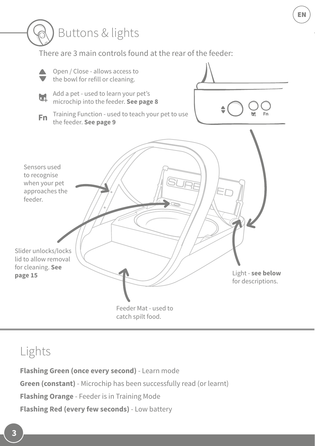

### Lights

**Flashing Green (once every second)** - Learn mode **Green (constant)** - Microchip has been successfully read (or learnt) **Flashing Orange** - Feeder is in Training Mode **Flashing Red (every few seconds)** - Low battery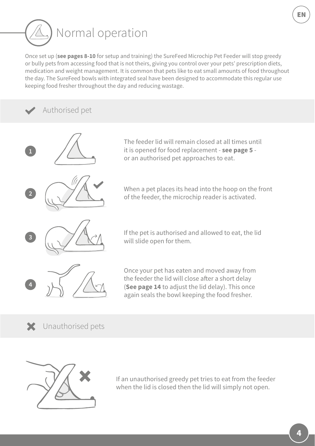

Once set up (**see pages 8-10** for setup and training) the SureFeed Microchip Pet Feeder will stop greedy or bully pets from accessing food that is not theirs, giving you control over your pets' prescription diets, medication and weight management. It is common that pets like to eat small amounts of food throughout the day. The SureFeed bowls with integrated seal have been designed to accommodate this regular use keeping food fresher throughout the day and reducing wastage.

#### Authorised pet



The feeder lid will remain closed at all times until it is opened for food replacement - **see page 5** or an authorised pet approaches to eat.

When a pet places its head into the hoop on the front of the feeder, the microchip reader is activated.

If the pet is authorised and allowed to eat, the lid will slide open for them.

Once your pet has eaten and moved away from the feeder the lid will close after a short delay (**See page 14** to adjust the lid delay). This once again seals the bowl keeping the food fresher.

X Unauthorised pets



If an unauthorised greedy pet tries to eat from the feeder when the lid is closed then the lid will simply not open.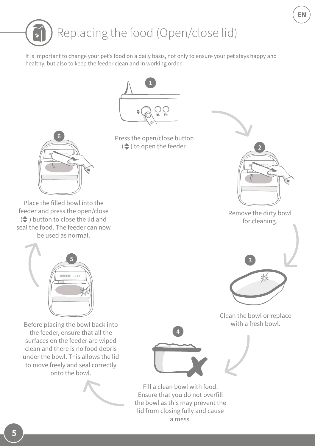

a mess.

Place the filled bowl into the

 $\left($   $\right)$  button to close the lid and seal the food. The feeder can now



feeder and press the open/close

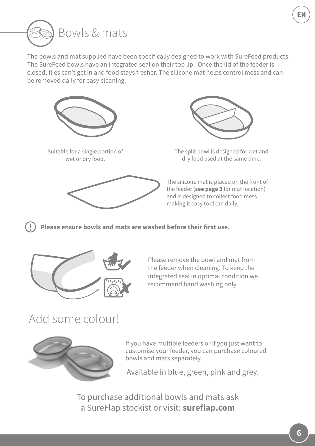

The bowls and mat supplied have been specifically designed to work with SureFeed products. The SureFeed bowls have an integrated seal on their top lip. Once the lid of the feeder is closed, flies can't get in and food stays fresher. The silicone mat helps control mess and can be removed daily for easy cleaning.



Suitable for a single portion of wet or dry food.





The split bowl is designed for wet and dry food used at the same time.

The silicone mat is placed on the front of the feeder (**see page 3** for mat location) and is designed to collect food mess making it easy to clean daily.

**Please ensure bowls and mats are washed before their first use.**



Please remove the bowl and mat from the feeder when cleaning. To keep the integrated seal in optimal condition we recommend hand washing only.

### Add some colour!



If you have multiple feeders or if you just want to customise your feeder, you can purchase coloured bowls and mats separately.

Available in blue, green, pink and grey.

To purchase additional bowls and mats ask a SureFlap stockist or visit: **sureflap.com**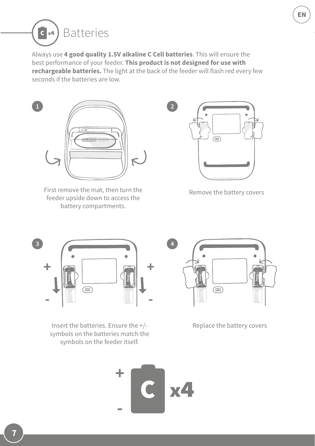

Always use **4 good quality 1.5V alkaline C Cell batteries**. This will ensure the best performance of your feeder. **This product is not designed for use with rechargeable batteries.** The light at the back of the feeder will flash red every few seconds if the batteries are low.



First remove the mat, then turn the feeder upside down to access the battery compartments.



Remove the battery covers



Insert the batteries. Ensure the +/ symbols on the batteries match the symbols on the feeder itself.



Replace the battery covers

**+**  $x4$ **-**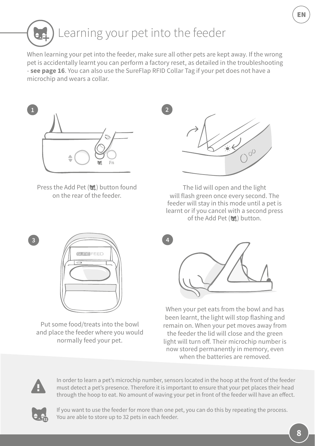When learning your pet into the feeder, make sure all other pets are kept away. If the wrong pet is accidentally learnt you can perform a factory reset, as detailed in the troubleshooting - **see page 16**. You can also use the SureFlap RFID Collar Tag if your pet does not have a microchip and wears a collar.

**2**



Press the Add Pet (bil) button found on the rear of the feeder.



The lid will open and the light will flash green once every second. The feeder will stay in this mode until a pet is learnt or if you cancel with a second press of the Add Pet (bi) button.



Put some food/treats into the bowl and place the feeder where you would normally feed your pet.



When your pet eats from the bowl and has been learnt, the light will stop flashing and remain on. When your pet moves away from the feeder the lid will close and the green light will turn off. Their microchip number is now stored permanently in memory, even when the batteries are removed



**3**

In order to learn a pet's microchip number, sensors located in the hoop at the front of the feeder must detect a pet's presence. Therefore it is important to ensure that your pet places their head through the hoop to eat. No amount of waving your pet in front of the feeder will have an effect.



If you want to use the feeder for more than one pet, you can do this by repeating the process. You are able to store up to 32 pets in each feeder.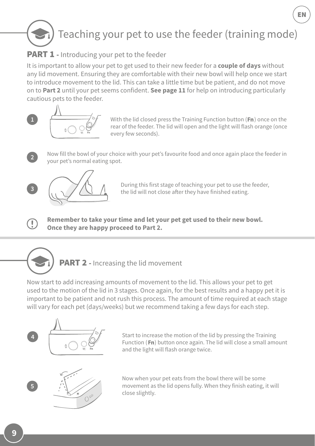## Teaching your pet to use the feeder (training mode)

#### **PART 1** - Introducing your pet to the feeder

It is important to allow your pet to get used to their new feeder for a **couple of days** without any lid movement. Ensuring they are comfortable with their new bowl will help once we start to introduce movement to the lid. This can take a little time but be patient, and do not move on to **Part 2** until your pet seems confident. **See page 11** for help on introducing particularly cautious pets to the feeder.



With the lid closed press the Training Function button  $(Fn)$  once on the rear of the feeder. The lid will open and the light will flash orange (once every few seconds).

EN

Now fill the bowl of your choice with your pet's favourite food and once again place the feeder in your pet's normal eating spot.



**3**

 $\left(\begin{smallmatrix}\cdot\end{smallmatrix}\right)$ 

During this first stage of teaching your pet to use the feeder, the lid will not close after they have finished eating.

**Remember to take your time and let your pet get used to their new bowl. Once they are happy proceed to Part 2.**



Now start to add increasing amounts of movement to the lid. This allows your pet to get used to the motion of the lid in 3 stages. Once again, for the best results and a happy pet it is important to be patient and not rush this process. The amount of time required at each stage will vary for each pet (days/weeks) but we recommend taking a few days for each step.



Start to increase the motion of the lid by pressing the Training Function ( $Fn$ ) button once again. The lid will close a small amount and the light will flash orange twice.



Now when your pet eats from the bowl there will be some movement as the lid opens fully. When they finish eating, it will close slightly.

**9**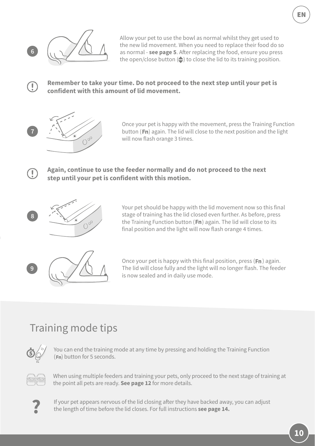

 $\bigcap$ 

Œ

Allow your pet to use the bowl as normal whilst they get used to the new lid movement. When you need to replace their food do so as normal - **see page 5**. After replacing the food, ensure you press the open/close button  $(\triangle)$  to close the lid to its training position.

#### **Remember to take your time. Do not proceed to the next step until your pet is confident with this amount of lid movement.**



Once your pet is happy with the movement, press the Training Function button ( $Fn$ ) again. The lid will close to the next position and the light will now flash orange 3 times.

#### **Again, continue to use the feeder normally and do not proceed to the next step until your pet is confident with this motion.**



Your pet should be happy with the lid movement now so this final stage of training has the lid closed even further. As before, press the Training Function button  $(Fn)$  again. The lid will close to its final position and the light will now flash orange 4 times.



Once your pet is happy with this final position, press ( $Fn$ ) again. The lid will close fully and the light will no longer flash. The feeder is now sealed and in daily use mode.

#### Training mode tips



You can end the training mode at any time by pressing and holding the Training Function (Fn) button for 5 seconds.



When using multiple feeders and training your pets, only proceed to the next stage of training at the point all pets are ready. **See page 12** for more details.



**?** If your pet appears nervous of the lid closing after they have backed away, you can adjust the length of time before the lid closes. For full instructions **see page 14.**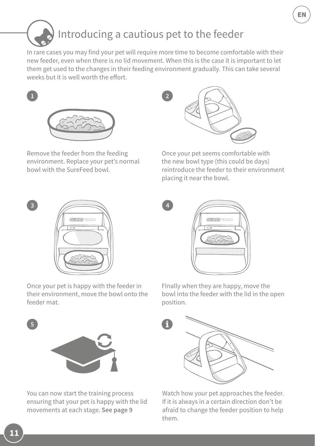## Introducing a cautious pet to the feeder

In rare cases you may find your pet will require more time to become comfortable with their new feeder, even when there is no lid movement. When this is the case it is important to let them get used to the changes in their feeding environment gradually. This can take several weeks but it is well worth the effort.

**4**



Remove the feeder from the feeding environment. Replace your pet's normal bowl with the SureFeed bowl.



Once your pet seems comfortable with the new bowl type (this could be days) reintroduce the feeder to their environment placing it near the bowl.



Once your pet is happy with the feeder in their environment, move the bowl onto the feeder mat.



FInally when they are happy, move the bowl into the feeder with the lid in the open position.



You can now start the training process ensuring that your pet is happy with the lid movements at each stage. **See page 9**



Watch how your pet approaches the feeder. If it is always in a certain direction don't be afraid to change the feeder position to help them.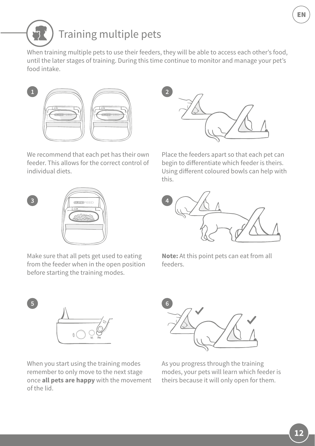EN

## Training multiple pets

When training multiple pets to use their feeders, they will be able to access each other's food, until the later stages of training. During this time continue to monitor and manage your pet's food intake.

**4**

**6**





Place the feeders apart so that each pet can begin to differentiate which feeder is theirs. Using different coloured bowls can help with this.



**Note:** At this point pets can eat from all feeders.



As you progress through the training modes, your pets will learn which feeder is theirs because it will only open for them.



**1**

**3**

**5**

of the lid.

Make sure that all pets get used to eating from the feeder when in the open position before starting the training modes.

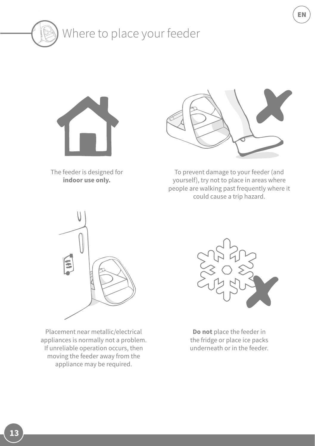



The feeder is designed for **indoor use only.**



To prevent damage to your feeder (and yourself), try not to place in areas where people are walking past frequently where it could cause a trip hazard.



Placement near metallic/electrical appliances is normally not a problem. If unreliable operation occurs, then moving the feeder away from the appliance may be required.



**Do not** place the feeder in the fridge or place ice packs underneath or in the feeder.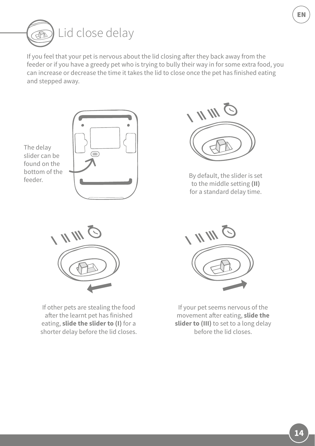

If you feel that your pet is nervous about the lid closing after they back away from the feeder or if you have a greedy pet who is trying to bully their way in for some extra food, you can increase or decrease the time it takes the lid to close once the pet has finished eating and stepped away.





By default, the slider is set to the middle setting **(II)**  for a standard delay time.



If other pets are stealing the food after the learnt pet has finished eating, **slide the slider to (I)** for a shorter delay before the lid closes.



If your pet seems nervous of the movement after eating, **slide the slider to (III)** to set to a long delay before the lid closes.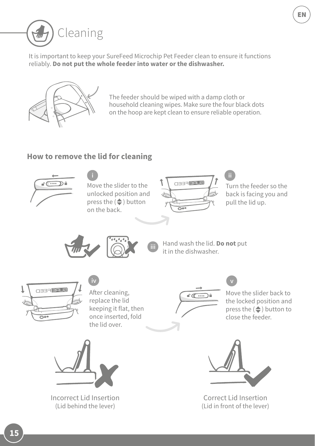

It is important to keep your SureFeed Microchip Pet Feeder clean to ensure it functions reliably. **Do not put the whole feeder into water or the dishwasher.**



The feeder should be wiped with a damp cloth or household cleaning wipes. Make sure the four black dots on the hoop are kept clean to ensure reliable operation.

#### **How to remove the lid for cleaning**

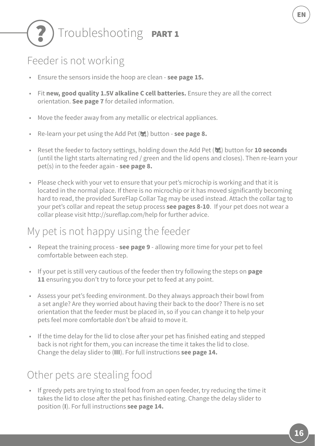# Troubleshooting PART1

#### Feeder is not working

- Ensure the sensors inside the hoop are clean **see page 15.**
- Fit **new, good quality 1.5V alkaline C cell batteries.** Ensure they are all the correct orientation. **See page 7** for detailed information.
- Move the feeder away from any metallic or electrical appliances.
- Re-learn your pet using the Add Pet (**b.**) button **see page 8.**
- Reset the feeder to factory settings, holding down the Add Pet (**bi)** button for **10 seconds** (until the light starts alternating red / green and the lid opens and closes). Then re-learn your pet(s) in to the feeder again - **see page 8.**
- Please check with your vet to ensure that your pet's microchip is working and that it is located in the normal place. If there is no microchip or it has moved significantly becoming hard to read, the provided SureFlap Collar Tag may be used instead. Attach the collar tag to your pet's collar and repeat the setup process **see pages 8-10**. If your pet does not wear a collar please visit http://sureflap.com/help for further advice.

#### My pet is not happy using the feeder

- Repeat the training process **see page 9** allowing more time for your pet to feel comfortable between each step.
- If your pet is still very cautious of the feeder then try following the steps on **page 11** ensuring you don't try to force your pet to feed at any point.
- Assess your pet's feeding environment. Do they always approach their bowl from a set angle? Are they worried about having their back to the door? There is no set orientation that the feeder must be placed in, so if you can change it to help your pets feel more comfortable don't be afraid to move it.
- If the time delay for the lid to close after your pet has finished eating and stepped back is not right for them, you can increase the time it takes the lid to close. Change the delay slider to (**III**). For full instructions **see page 14.**

#### Other pets are stealing food

• If greedy pets are trying to steal food from an open feeder, try reducing the time it takes the lid to close after the pet has finished eating. Change the delay slider to position (**I**). For full instructions **see page 14.**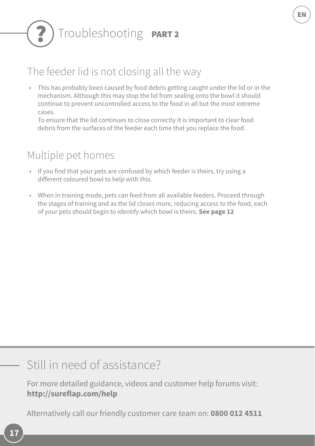# Troubleshooting **PART2**

#### The feeder lid is not closing all the way

• This has probably been caused by food debris getting caught under the lid or in the mechanism. Although this may stop the lid from sealing onto the bowl it should continue to prevent uncontrolled access to the food in all but the most extreme cases.

EN

To ensure that the lid continues to close correctly it is important to clear food debris from the surfaces of the feeder each time that you replace the food.

#### Multiple pet homes

- If you find that your pets are confused by which feeder is theirs, try using a different coloured bowl to help with this.
- When in training mode, pets can feed from all available feeders. Proceed through the stages of training and as the lid closes more, reducing access to the food, each of your pets should begin to identify which bowl is theirs. **See page 12**

## Still in need of assistance?

For more detailed guidance, videos and customer help forums visit: **http://sureflap.com/help** 

Alternatively call our friendly customer care team on: **0800 012 4511**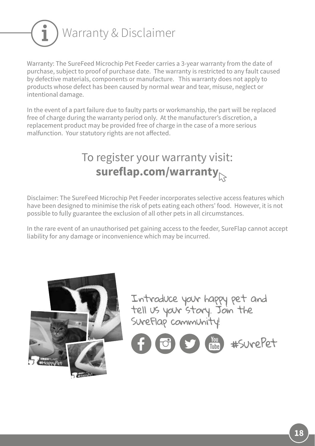

Warranty: The SureFeed Microchip Pet Feeder carries a 3-year warranty from the date of purchase, subject to proof of purchase date. The warranty is restricted to any fault caused by defective materials, components or manufacture. This warranty does not apply to products whose defect has been caused by normal wear and tear, misuse, neglect or intentional damage.

In the event of a part failure due to faulty parts or workmanship, the part will be replaced free of charge during the warranty period only. At the manufacturer's discretion, a replacement product may be provided free of charge in the case of a more serious malfunction. Your statutory rights are not affected.

## To register your warranty visit: **sureflap.com/warranty**

Disclaimer: The SureFeed Microchip Pet Feeder incorporates selective access features which have been designed to minimise the risk of pets eating each others' food. However, it is not possible to fully guarantee the exclusion of all other pets in all circumstances.

In the rare event of an unauthorised pet gaining access to the feeder, SureFlap cannot accept liability for any damage or inconvenience which may be incurred.



Introduce your happy pet and tell us your story. Join the SureFlap community!